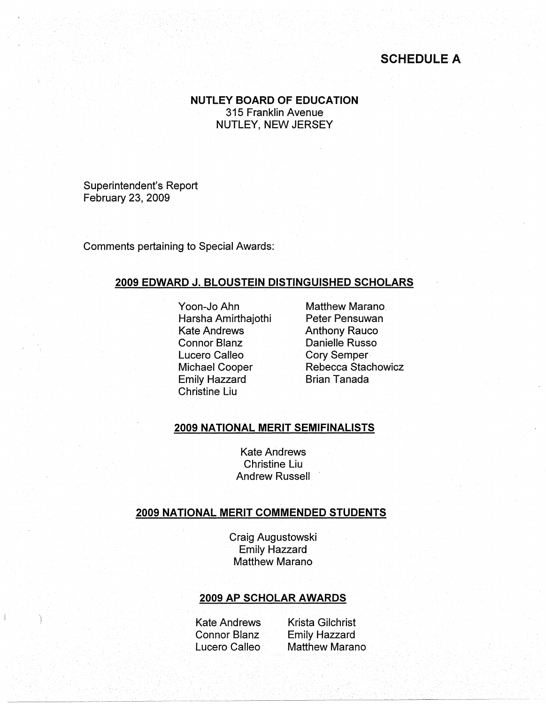# **SCHEDULE A**

**NUTLEY BOARD OF EDUCATION**  315 Franklin Avenue NUTLEY, NEW JERSEY

Superintendent's Report February 23, 2009

Comments pertaining to Special Awards:

#### **2009 EDWARD J. BLOUSTEIN DISTINGUISHED SCHOLARS**

Yoon-Jo Ahn Harsha Amirthajothi Kate Andrews Connor Blanz Lucero Calleo Michael Cooper Emily Hazzard Christine Liu

Matthew Marano. Peter Pensuwan Anthony Rauco Danielle Russo Cory Semper - Rebecca Stachowicz Brian Tanada

#### **2009 NATIONAL MERIT SEMIFINALISTS**

Kate Andrews Christine Liu Andrew Russell

## **2009 NATIONAL MERIT COMMENDED STUDENTS**

Craig Augustowski Emily Hazzard Matthew Marano

#### **2009 AP SCHOLAR AWARDS**

Kate Andrews Connor Blanz Lucero Calleo

Krista Gilchrist Emily Hazzard Matthew Marano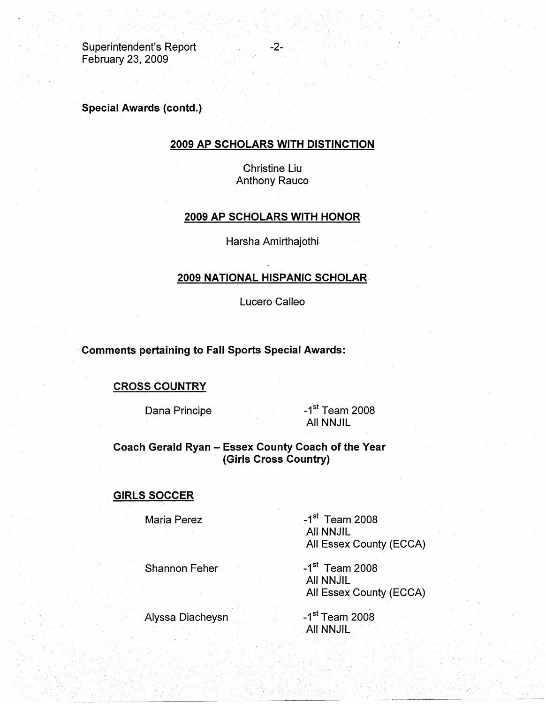Superintendent's Report February 23, 2009

**Special Awards (contd.)** 

## **2009 AP SCHOLARS WITH DISTINCTION**

Christine Liu Anthony Rauco

## **2009 AP SCHOLARS WITH HONOR**

Harsha Amirthajothi-

## **2009 NATIONAL HISPANIC SCHOLAR.**

Lucero Calleo

· **Comments pertaining to Fall Sports Special Awards:** 

## **CROSS COUNTRY**

Dana Principe **-1st Team 2008** All NNJIL

**Coach Gerald Ryan** - **Essex County Coach of the Year (Girls Cross Country)** 

#### **GIRLS SOCCER**

Maria Perez

 $-1<sup>st</sup>$  Team 2008 All NNJIL All Essex County (ECCA)

Shannon Feher

 $-1$ <sup>st</sup> Team 2008 All NNJIL All Essex County (ECCA)

Alyssa Diacheysn

 $-1<sup>st</sup>$  Team 2008 All NNJIL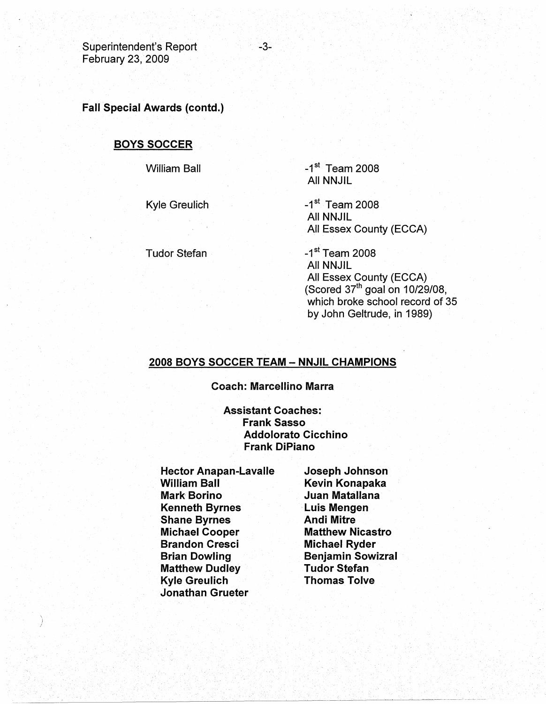Superintendent's Report February 23, 2009

-3-

**Fall Special Awards (contd.)** 

## **BOYS SOCCER**

William Ball

Kyle Greulich

Tudor Stefan

 $-1<sup>st</sup>$  Team 2008 All NNJIL

 $-1<sup>st</sup>$  Team 2008 All NNJIL All Essex County (ECCA)

 $-1$ <sup>st</sup> Team 2008 All NNJIL All Essex County (ECCA) (Scored 37<sup>th</sup> goal on 10/29/08, which broke school record of 35 by John Geltrude, in 1989)

## **2008 BOYS SOCCER TEAM -- NNJIL CHAMPIONS**

**Coach: Marcellino Marra** 

**Assistant Coaches: Frank Sasso Addolorato Cicchino Frank DiPiano** 

**Hector Anapan-Lavalle William Ball Mark Borino Kenneth Byrnes Shane Byrnes Michael Cooper Brandon Cresci Brian Dowling Matthew Dudley Kyle Greulich Jonathan Grueter** 

**Joseph Johnson Kevin Konapaka Juan Matallana**  · **Luis Mengen Andi Mitre Matthew Nicastro Michael Ryder Benjamin Sowizral Tudor Stefan Thomas Tolve**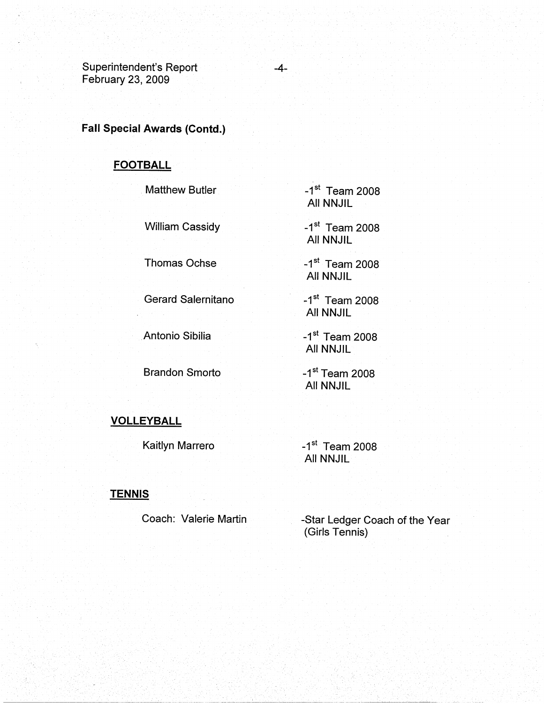Superintendent's Report February 23, 2009

## **Fall Special Awards (Contd.)**

# **FOOTBALL**

Matthew Butler

William Cassidy

Thomas Ochse

Gerard Salernitano

Antonio Sibilia

Brandon Smorto

 $-1$ <sup>st</sup> Team 2008 All NNJIL

 $-1$ <sup>st</sup> Team 2008 All NNJIL

 $-1$ <sup>st</sup> Team 2008 All NNJIL

 $-1$ <sup>st</sup> Team 2008 All NNJIL

 $-1$ <sup>st</sup> Team 2008 All NNJIL

 $-1$ <sup>st</sup> Team 2008 All NNJIL

## **VOLLEYBALL**

Kaitlyn Marrero

 $-1$ <sup>st</sup> Team 2008 All NNJIL

### **TENNIS**

Coach: Valerie Martin

-Star Ledger Coach of the Year (Girls Tennis)